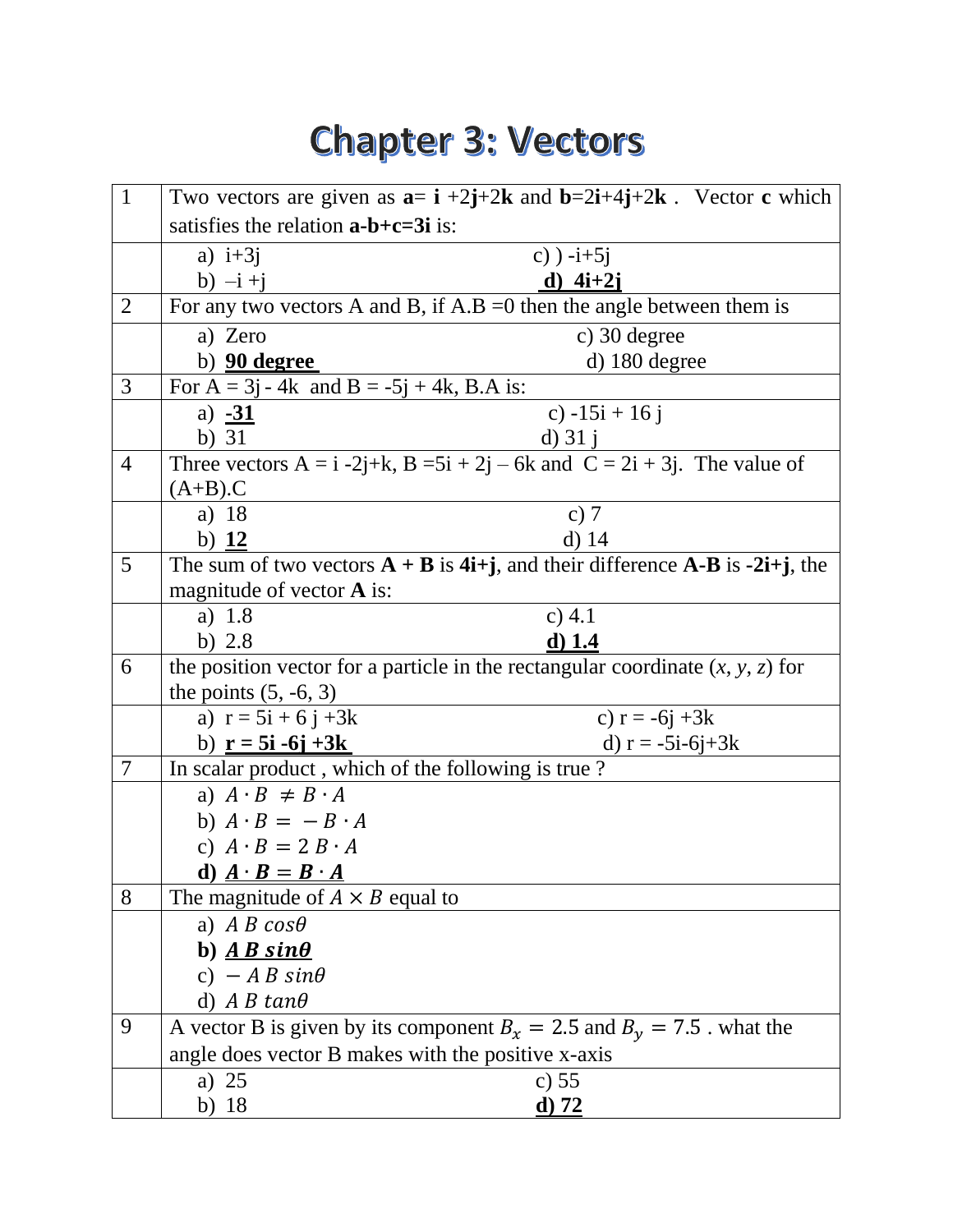## **Chapter 3: Vectors**

| $\mathbf{1}$   | Two vectors are given as $a= i +2j+2k$ and $b=2i+4j+2k$ . Vector c which          |                                                                                                                    |  |
|----------------|-----------------------------------------------------------------------------------|--------------------------------------------------------------------------------------------------------------------|--|
|                | satisfies the relation $a-b+c=3i$ is:                                             |                                                                                                                    |  |
|                | a) $i+3j$                                                                         | c) $-i+5j$                                                                                                         |  |
|                | b) $-i + j$                                                                       | d) $4i+2j$                                                                                                         |  |
| $\overline{2}$ | For any two vectors A and B, if $A.B = 0$ then the angle between them is          |                                                                                                                    |  |
|                | a) Zero                                                                           | c) 30 degree                                                                                                       |  |
|                | b) <b>90 degree</b>                                                               | d) 180 degree                                                                                                      |  |
| 3              | For $A = 3j - 4k$ and $B = -5j + 4k$ , B.A is:                                    |                                                                                                                    |  |
|                | a) $-31$                                                                          | c) $-15i + 16j$                                                                                                    |  |
|                | b) $31$                                                                           | d) $31 i$                                                                                                          |  |
| $\overline{4}$ | Three vectors $A = i -2j+k$ , $B = 5i + 2j - 6k$ and $C = 2i + 3j$ . The value of |                                                                                                                    |  |
|                | $(A+B).C$                                                                         |                                                                                                                    |  |
|                | a) 18                                                                             | c) $7$                                                                                                             |  |
|                | b) $12$                                                                           | $d)$ 14                                                                                                            |  |
| 5              |                                                                                   | The sum of two vectors $A + B$ is 4 <i>i</i> + <i>j</i> , and their difference A-B is -2 <i>i</i> + <i>j</i> , the |  |
|                | magnitude of vector <b>A</b> is:                                                  |                                                                                                                    |  |
|                | a) $1.8$                                                                          | c) $4.1$                                                                                                           |  |
|                | b) $2.8$                                                                          | $d)$ 1.4                                                                                                           |  |
| 6              | the position vector for a particle in the rectangular coordinate $(x, y, z)$ for  |                                                                                                                    |  |
|                | the points $(5, -6, 3)$                                                           |                                                                                                                    |  |
|                | a) $r = 5i + 6j + 3k$                                                             | c) $r = -6j + 3k$                                                                                                  |  |
|                | b) $r = 5i - 6j + 3k$                                                             | d) $r = -5i-6j+3k$                                                                                                 |  |
| $\overline{7}$ | In scalar product, which of the following is true?                                |                                                                                                                    |  |
|                | a) $A \cdot B \neq B \cdot A$                                                     |                                                                                                                    |  |
|                | b) $A \cdot B = -B \cdot A$                                                       |                                                                                                                    |  |
|                | c) $A \cdot B = 2B \cdot A$                                                       |                                                                                                                    |  |
|                | d) $\mathbf{A} \cdot \mathbf{B} = \mathbf{B} \cdot \mathbf{A}$                    |                                                                                                                    |  |
| 8              | The magnitude of $A \times B$ equal to                                            |                                                                                                                    |  |
|                | a) A B $cos\theta$                                                                |                                                                                                                    |  |
|                | b) $\overline{AB \sin \theta}$                                                    |                                                                                                                    |  |
|                | c) $-A B sin\theta$                                                               |                                                                                                                    |  |
|                | d) $A B tan\theta$                                                                |                                                                                                                    |  |
| 9              | A vector B is given by its component $B_x = 2.5$ and $B_y = 7.5$ . what the       |                                                                                                                    |  |
|                | angle does vector B makes with the positive x-axis                                |                                                                                                                    |  |
|                | a) $25$                                                                           | c) $55$                                                                                                            |  |
|                | b) $18$                                                                           | $\mathbf{d}$ ) 72                                                                                                  |  |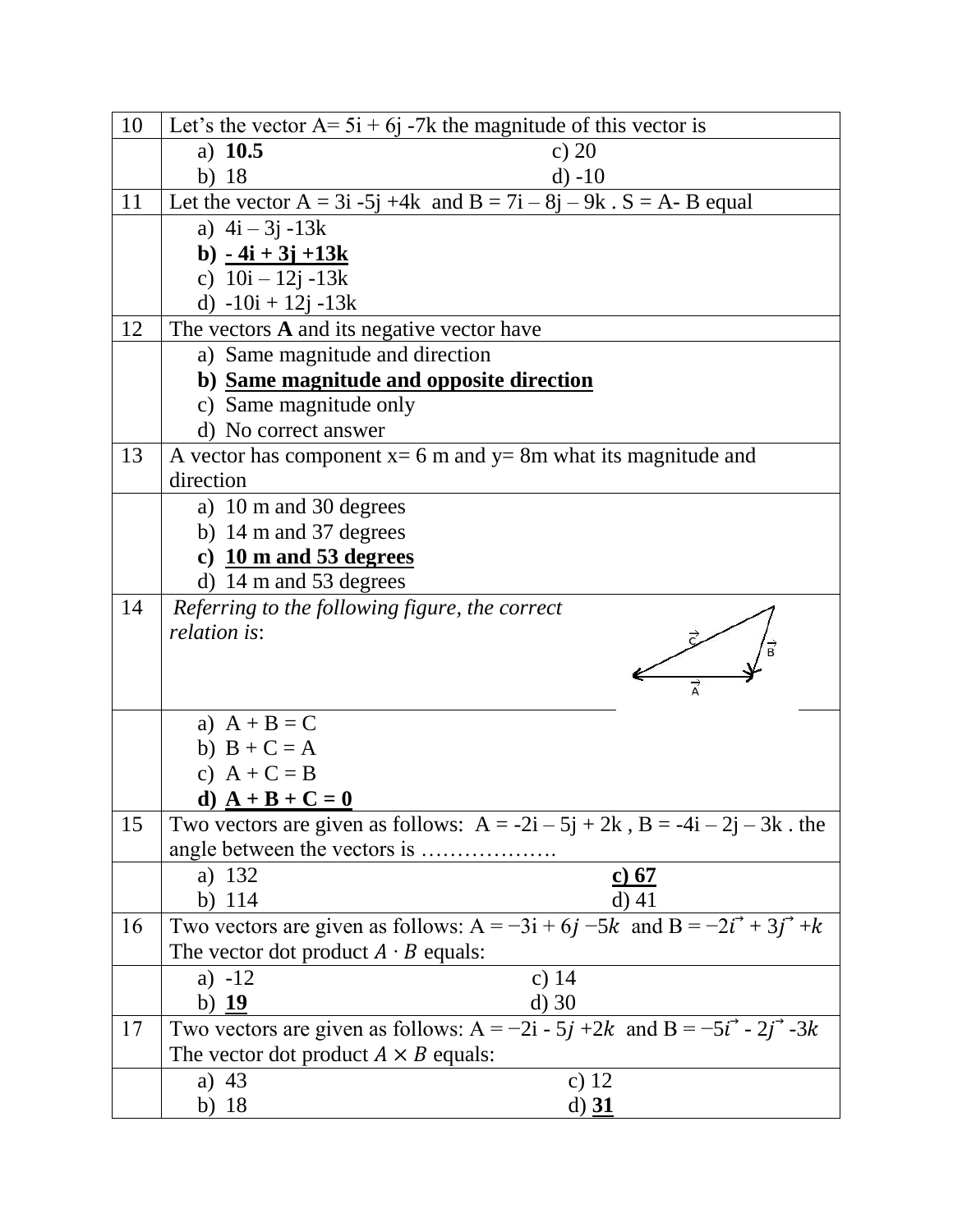| 10 | Let's the vector $A = 5i + 6j - 7k$ the magnitude of this vector is               |  |  |
|----|-----------------------------------------------------------------------------------|--|--|
|    | a) $10.5$<br>c) $20$                                                              |  |  |
|    | b) $18$<br>$d) -10$                                                               |  |  |
| 11 | Let the vector $A = 3i - 5j + 4k$ and $B = 7i - 8j - 9k$ . $S = A - B$ equal      |  |  |
|    | a) $4i - 3j - 13k$                                                                |  |  |
|    | b) $-4i + 3j + 13k$                                                               |  |  |
|    | c) $10i - 12j - 13k$                                                              |  |  |
|    | d) $-10i + 12j - 13k$                                                             |  |  |
| 12 | The vectors $A$ and its negative vector have                                      |  |  |
|    | a) Same magnitude and direction                                                   |  |  |
|    | b) Same magnitude and opposite direction                                          |  |  |
|    | c) Same magnitude only                                                            |  |  |
|    | d) No correct answer                                                              |  |  |
| 13 | A vector has component $x=6$ m and $y=8$ m what its magnitude and                 |  |  |
|    | direction                                                                         |  |  |
|    | a) 10 m and 30 degrees                                                            |  |  |
|    | b) 14 m and 37 degrees                                                            |  |  |
|    | c) $10 \text{ m}$ and 53 degrees                                                  |  |  |
|    | d) $14 \text{ m}$ and $53 \text{ degrees}$                                        |  |  |
| 14 | Referring to the following figure, the correct                                    |  |  |
|    | <i>relation is:</i>                                                               |  |  |
|    |                                                                                   |  |  |
|    |                                                                                   |  |  |
|    | a) $A + B = C$                                                                    |  |  |
|    | b) $B + C = A$                                                                    |  |  |
|    | c) $A + C = B$                                                                    |  |  |
|    | d) $\mathbf{A} + \mathbf{B} + \mathbf{C} = \mathbf{0}$                            |  |  |
| 15 | Two vectors are given as follows: $A = -2i - 5j + 2k$ , $B = -4i - 2j - 3k$ . the |  |  |
|    |                                                                                   |  |  |
|    | a) 132<br><u>c) 67</u>                                                            |  |  |
|    | b) $114$<br>$d$ ) 41                                                              |  |  |
| 16 | Two vectors are given as follows: $A = -3i + 6j - 5k$ and $B = -2i^* + 3j^* + k$  |  |  |
|    | The vector dot product $A \cdot B$ equals:                                        |  |  |
|    | c) $14$<br>a) $-12$                                                               |  |  |
|    | b) $19$<br>$d)$ 30                                                                |  |  |
| 17 | Two vectors are given as follows: $A = -2i - 5j + 2k$ and $B = -5i^2 - 2j^2 - 3k$ |  |  |
|    | The vector dot product $A \times B$ equals:                                       |  |  |
|    | c) $12$<br>a) $43$                                                                |  |  |
|    | b) $18$<br>$d)$ 31                                                                |  |  |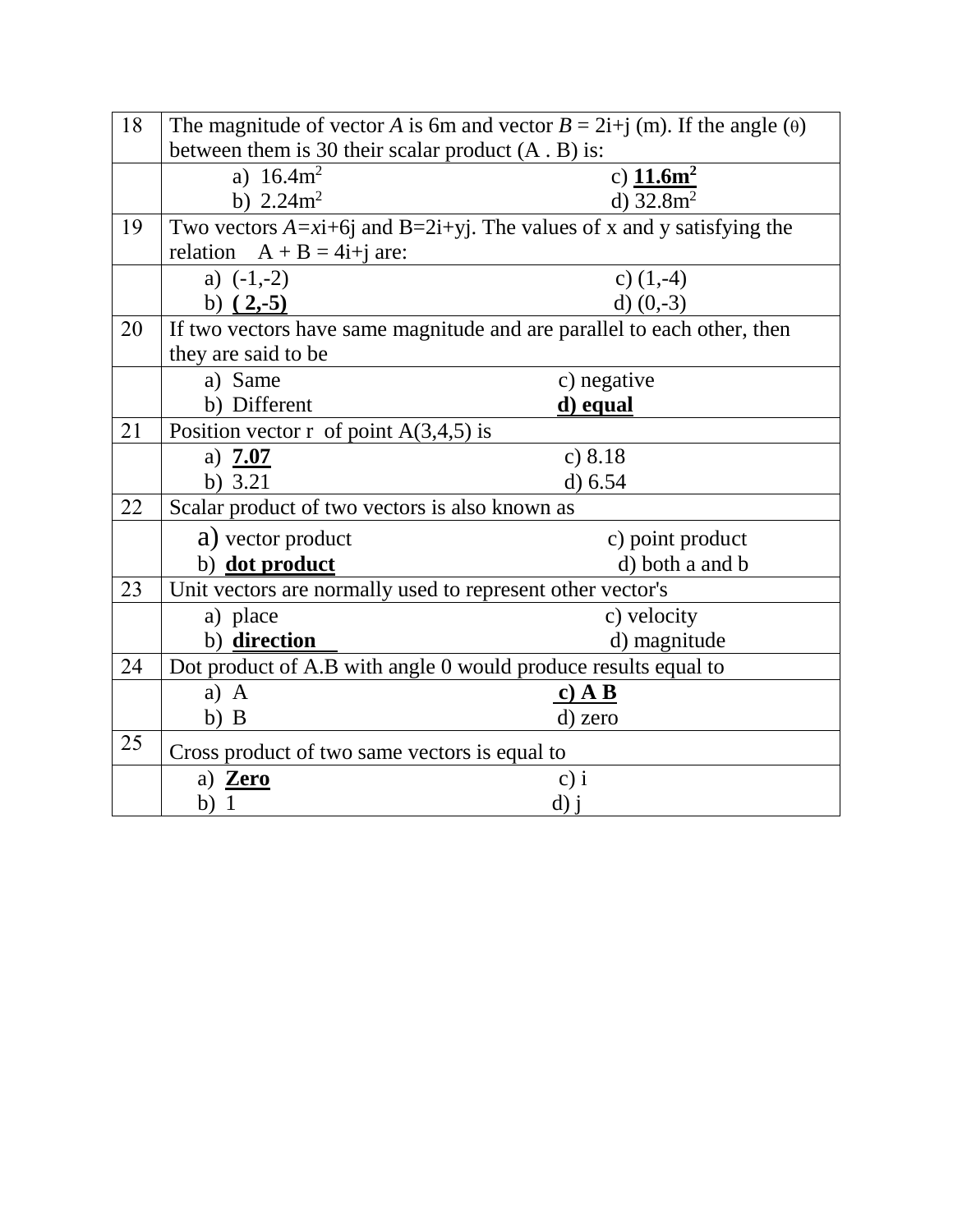| 18 | The magnitude of vector A is 6m and vector $B = 2i + j$ (m). If the angle ( $\theta$ ) |                                                                                                    |  |
|----|----------------------------------------------------------------------------------------|----------------------------------------------------------------------------------------------------|--|
|    | between them is 30 their scalar product $(A, B)$ is:                                   |                                                                                                    |  |
|    | a) $16.4m^2$                                                                           | c) $11.6m^2$                                                                                       |  |
|    | b) $2.24m^2$                                                                           | d) $32.8m^2$                                                                                       |  |
| 19 |                                                                                        | Two vectors $A=x\hat{i}+6\hat{j}$ and $B=2\hat{i}+y\hat{j}$ . The values of x and y satisfying the |  |
|    | relation $A + B = 4i + j$ are:                                                         |                                                                                                    |  |
|    | a) $(-1,-2)$                                                                           | c) $(1,-4)$                                                                                        |  |
|    | b) $(2,-5)$                                                                            | d) $(0,-3)$                                                                                        |  |
| 20 |                                                                                        | If two vectors have same magnitude and are parallel to each other, then                            |  |
|    | they are said to be                                                                    |                                                                                                    |  |
|    | a) Same                                                                                | c) negative                                                                                        |  |
|    | b) Different                                                                           | d) equal                                                                                           |  |
| 21 | Position vector r of point $A(3,4,5)$ is                                               |                                                                                                    |  |
|    | a) $7.07$                                                                              | c) 8.18                                                                                            |  |
|    | b) $3.21$                                                                              | d) 6.54                                                                                            |  |
| 22 | Scalar product of two vectors is also known as                                         |                                                                                                    |  |
|    | a) vector product                                                                      | c) point product                                                                                   |  |
|    | b) dot product                                                                         | d) both a and b                                                                                    |  |
| 23 | Unit vectors are normally used to represent other vector's                             |                                                                                                    |  |
|    | a) place                                                                               | c) velocity                                                                                        |  |
|    | b) direction                                                                           | d) magnitude                                                                                       |  |
| 24 | Dot product of A.B with angle 0 would produce results equal to                         |                                                                                                    |  |
|    | $a)$ A                                                                                 | <u>c) A B</u>                                                                                      |  |
|    | $b)$ B                                                                                 | d) zero                                                                                            |  |
| 25 | Cross product of two same vectors is equal to                                          |                                                                                                    |  |
|    | a) Zero                                                                                | $c)$ i                                                                                             |  |
|    | b) 1                                                                                   | $d)$ j                                                                                             |  |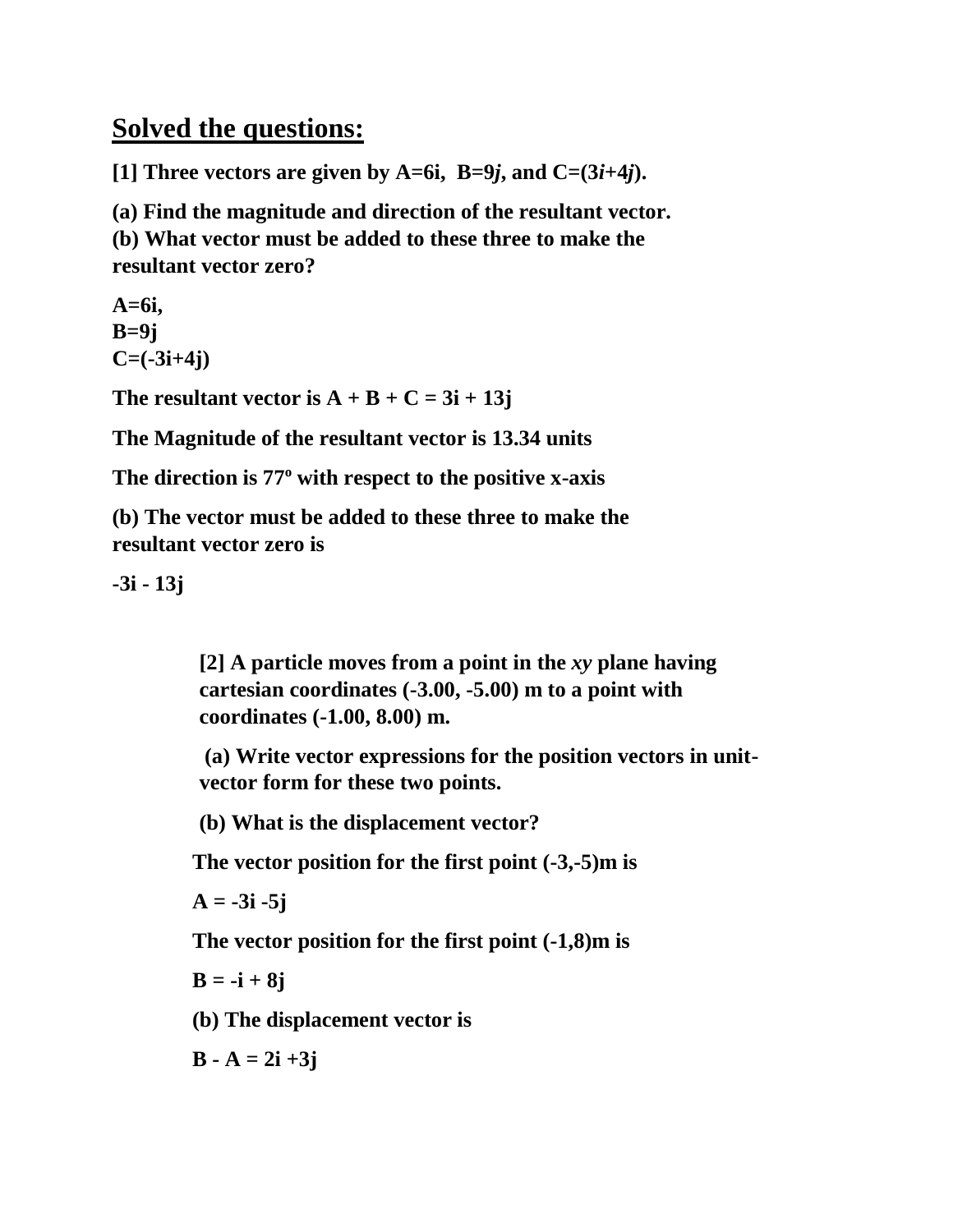## **Solved the questions:**

**[1] Three vectors are given by A=6i, B=9***j***, and C=(3***i***+4***j***).**

**(a) Find the magnitude and direction of the resultant vector.** 

**(b) What vector must be added to these three to make the resultant vector zero?**

**A=6i, B=9j C=(-3i+4j)**

The resultant vector is  $A + B + C = 3i + 13j$ 

**The Magnitude of the resultant vector is 13.34 units**

The direction is 77<sup>°</sup> with respect to the positive x-axis

**(b) The vector must be added to these three to make the resultant vector zero is**

**-3i - 13j**

**[2] A particle moves from a point in the** *xy* **plane having cartesian coordinates (-3.00, -5.00) m to a point with coordinates (-1.00, 8.00) m.**

**(a) Write vector expressions for the position vectors in unitvector form for these two points.** 

**(b) What is the displacement vector?**

**The vector position for the first point (-3,-5)m is**

 $A = -3i -5j$ 

**The vector position for the first point (-1,8)m is**

**B = -i + 8j**

**(b) The displacement vector is**

 $B - A = 2i + 3j$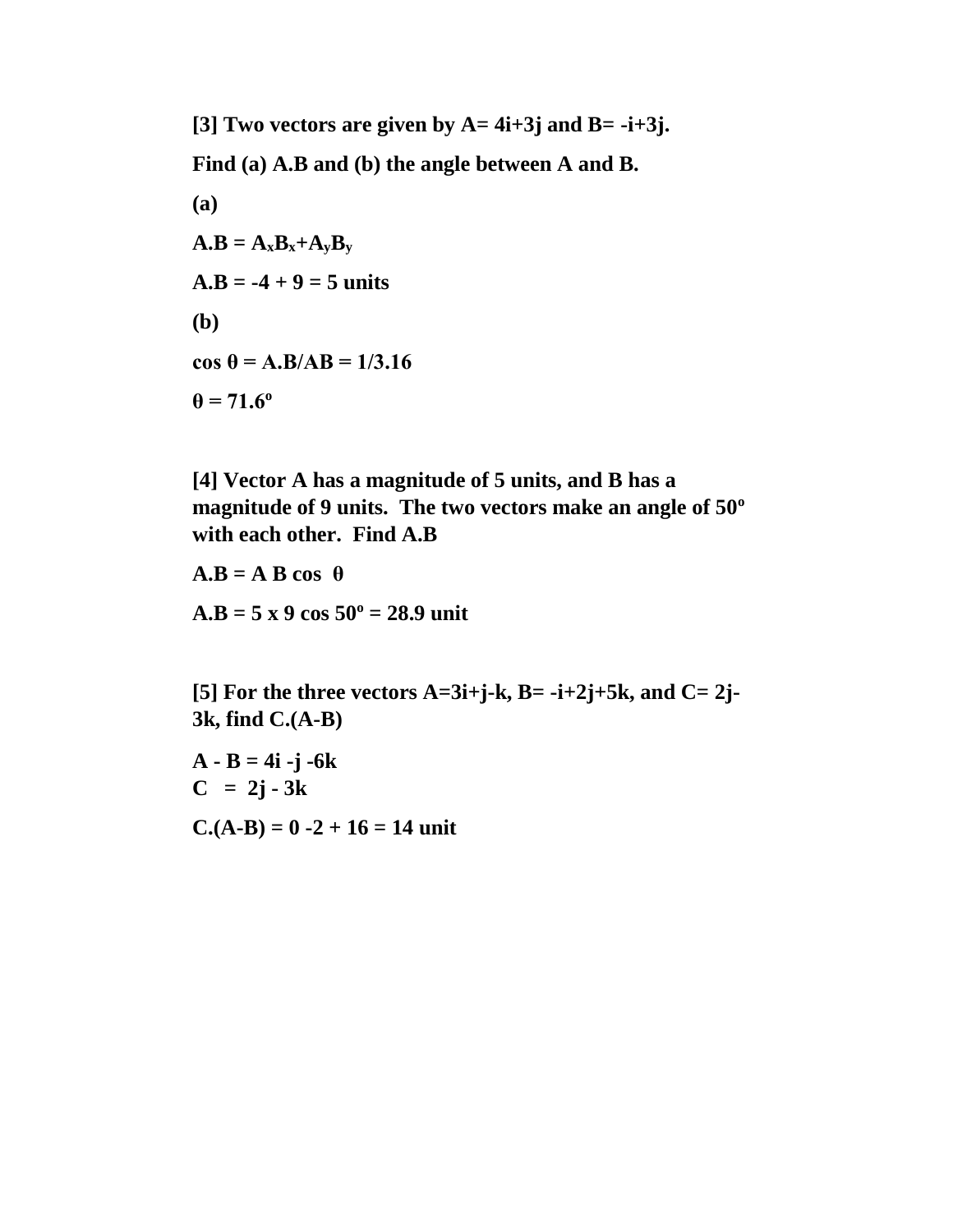**[3] Two vectors are given by A= 4i+3j and B= -i+3j. Find (a) A.B and (b) the angle between A and B. (a)**   $A.B = A_xB_x + A_yB_y$  $A.B = -4 + 9 = 5$  units **(b) cos θ = A.B/AB = 1/3.16**  $\theta$  = 71.6<sup>o</sup>

**[4] Vector A has a magnitude of 5 units, and B has a <sup>o</sup> magnitude of 9 units. The two vectors make an angle of 50 with each other. Find A.B**

 $A.B = A B cos \theta$  $A.B = 5 x 9 cos 50° = 28.9$  unit

[5] For the three vectors  $A=3i+j-k$ ,  $B=-i+2j+5k$ , and  $C=2j-5k$ **3k, find C.(A-B)**

**A - B = 4i -j -6k**  $C = 2j - 3k$  $C(A-B) = 0 -2 + 16 = 14$  unit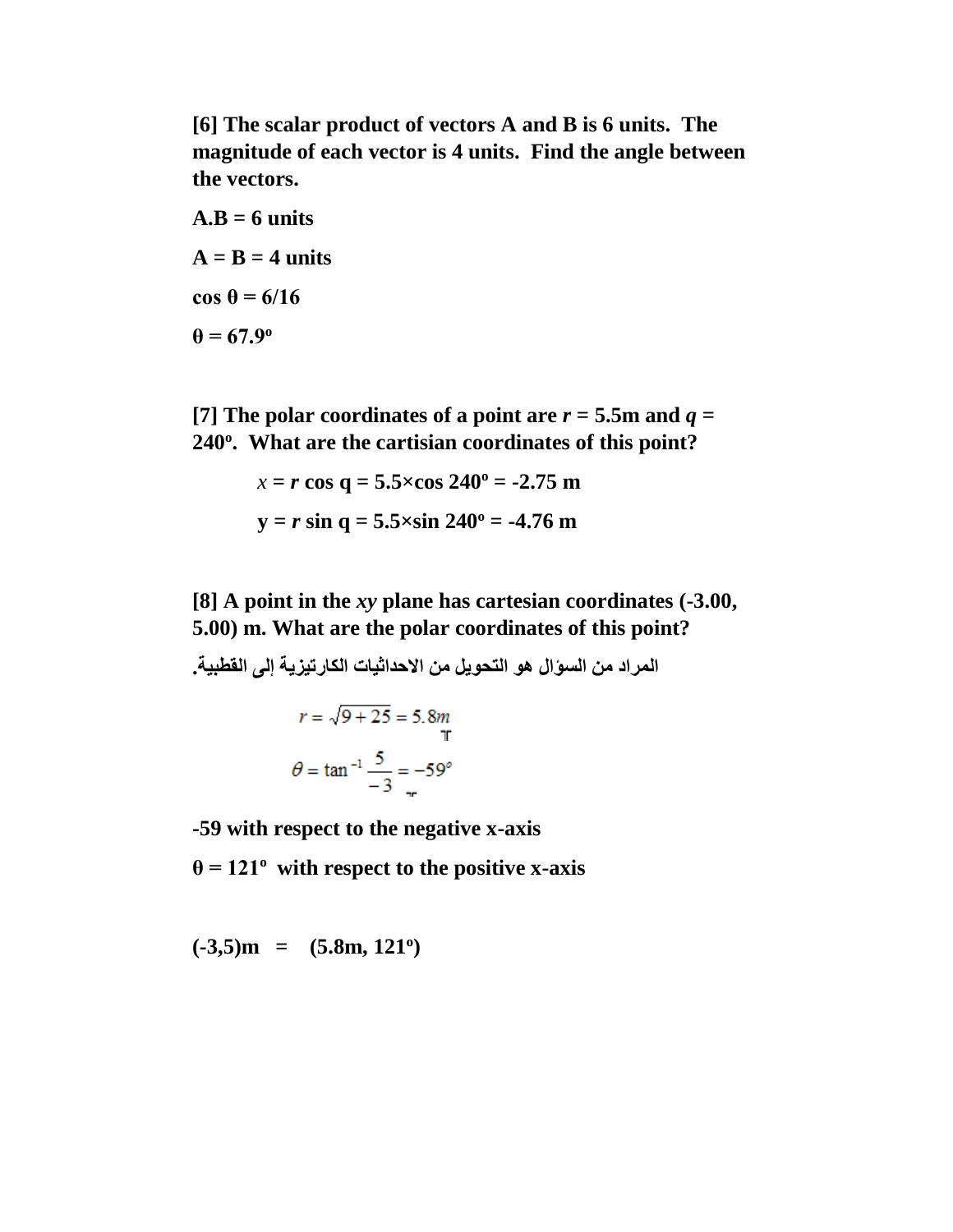**[6] The scalar product of vectors A and B is 6 units. The magnitude of each vector is 4 units. Find the angle between the vectors.**

 $A.B = 6$  units  $A = B = 4$  units **cos θ = 6/16**  $\theta = 67.9$ <sup>o</sup>

[7] The polar coordinates of a point are  $r = 5.5$ m and  $q =$ **. What are the cartisian coordinates of this point? <sup>o</sup> 240**

$$
x = r \cos q = 5.5 \times \cos 240^{\circ} = -2.75 \text{ m}
$$
  
 $y = r \sin q = 5.5 \times \sin 240^{\circ} = -4.76 \text{ m}$ 

**[8] A point in the** *xy* **plane has cartesian coordinates (-3.00, 5.00) m. What are the polar coordinates of this point?** 

**المراد من السؤال هو التحويل من االحداثيات الكارتيزية إلى القطبية.**  $r = \sqrt{9 + 25} = 5.8m$ <br>T<br> $\theta = \tan^{-1} \frac{5}{-3} = -59^{\circ}$ 

**-59 with respect to the negative x-axis**

 $\theta = 121^{\circ}$  with respect to the positive x-axis

 $(-3,5)$ m =  $(5.8m, 121^\circ)$